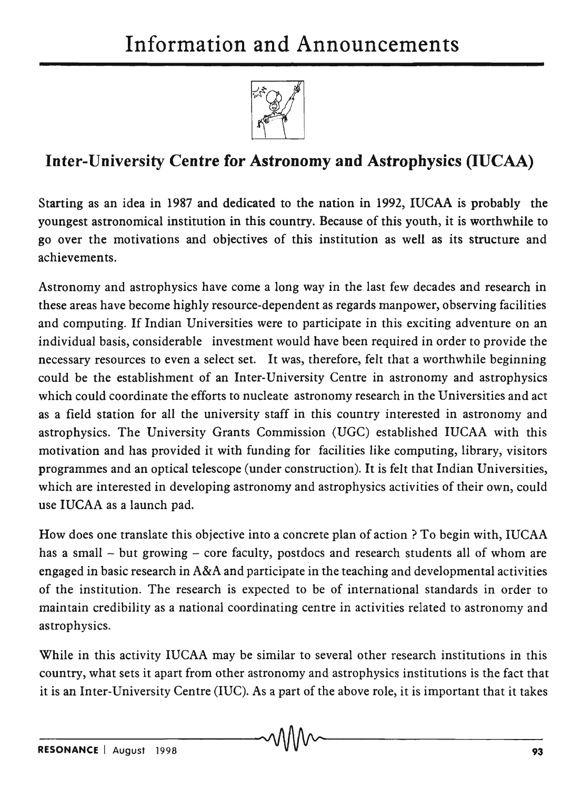

## **Inter-University Centre for Astronomy and Astrophysics (IUCAA)**

Starting as an idea in 1987 and dedicated to the nation in 1992, IUCAA is probably the youngest astronomical institution in this country. Because of this youth, it is worthwhile to go over the motivations and objectives of this institution as well as its structure and achievements.

Astronomy and astrophysics have come a long way in the last few decades and research in these areas have become highly resource-dependent as regards manpower, observing facilities and computing. If Indian Universities were to participate in this exciting adventure on an individual basis, considerable investment would have been required in order to provide the necessary resources to even a select set. It was, therefore, felt that a worthwhile beginning could be the establishment of an Inter-University Centre in astronomy and astrophysics which could coordinate the efforts to nucleate astronomy research in the Universities and act as a field station for all the university staff in this country interested in astronomy and astrophysics. The University Grants Commission (UGC) established IUCAA with this motivation and has provided it with funding for facilities like computing, library, visitors programmes and an optical telescope (under construction). It is felt that Indian Universities, which are interested in developing astronomy and astrophysics activities of their own, could use IUCAA as a launch pad.

How does one translate this objective into a concrete plan of action? To begin with, IUCAA has a small – but growing – core faculty, postdocs and research students all of whom are engaged in basic research in  $A\&A$  and participate in the teaching and developmental activities of the institution. The research is expected to be of international standards in order to maintain credibility as a national coordinating centre in activities related to astronomy and astrophysics.

While in this activity IUCAA may be similar to several other research institutions in this country, what sets it apart from other astronomy and astrophysics institutions is the fact that it is an Inter-University Centre (IUC). As a part of the above role, it is important that it takes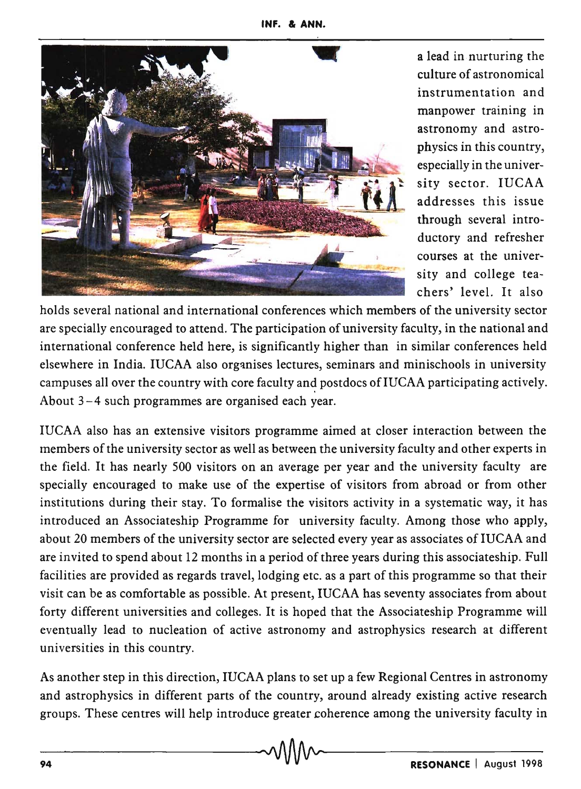

a lead in nurturing the culture of astronomical instrumentation and manpower training in astronomy and astrophysics in this country, especially in the university sector. IUCAA addresses this issue through several introductory and refresher courses at the university and college teachers' level. It also

holds several national and international conferences which members of the university sector are specially encouraged to attend. The participation of university faculty, in the national and international conference held here, is significantly higher than in similar conferences held elsewhere in India. IUCAA also organises lectures, seminars and minischools in university campuses all over the country with core faculty and postdocs of IUCAA participating actively. About 3 -4 such programmes are organised each year.

IUCAA also has an extensive visitors programme aimed at closer interaction between the members of the university sector as well as between the university faculty and other experts in the field. It has nearly 500 visitors on an average per year and the university faculty are specially encouraged to make use of the expertise of visitors from abroad or from other institutions during their stay. To formalise the visitors activity in a systematic way, it has introduced an Associateship Programme for university faculty. Among those who apply, about 20 members of the university sector are selected every year as associates of IUCAA and are invited to spend about 12 months in a period of three years during this associateship. Full facilities are provided as regards travel, lodging etc. as a part of this programme so that their visit can be as comfortable as possible. At present, IUCAA has seventy associates from about forty different universities and colleges. It is hoped that the Associateship Programme will eventually lead to nucleation of active astronomy and astrophysics research at different universities in this country.

As another step in this direction, IUCAA plans to set up a few Regional Centres in astronomy and astrophysics in different parts of the country, around already existing active research groups. These centres will help introduce greater coherence among the university faculty in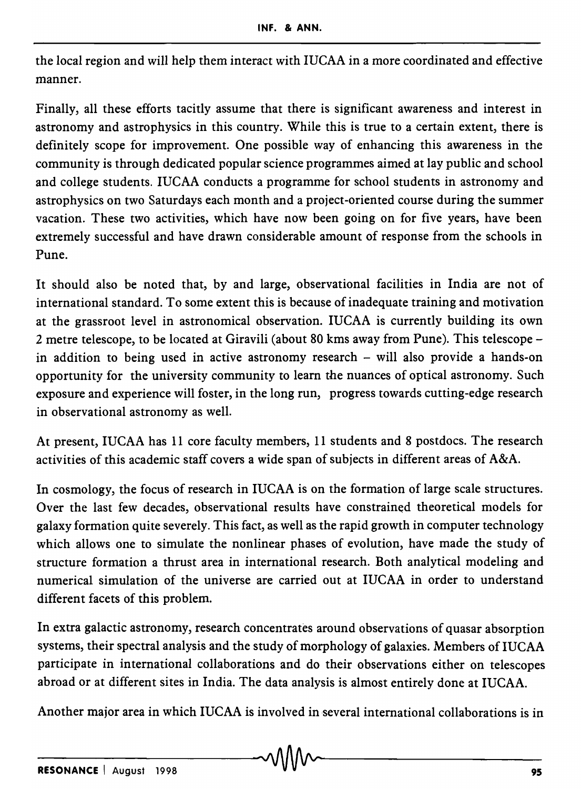the local region and will help them interact with IUCAA in a more coordinated and effective manner.

Finally, all these efforts tacitly assume that there is significant awareness and interest in astronomy and astrophysics in this country. While this is true to a certain extent, there is definitely scope for improvement. One possible way of enhancing this awareness in the community is through dedicated popular science programmes aimed at lay public and school and college students. IUCAA conducts a programme for school students in astronomy and astrophysics on two Saturdays each month and a project-oriented course during the summer vacation. These two activities, which have now been going on for five years, have been extremely successful and have drawn considerable amount of response from the schools in Pune.

It should also be noted that, by and large, observational facilities in India are not of international standard. To some extent this is because of inadequate training and motivation at the grassroot level in astronomical observation. IUCAA is currently building its own 2 metre telescope, to be located at Giravili (about 80 kms away from Pune). This telescopein addition to being used in active astronomy research - will also provide a hands-on opportunity for the university community to learn the nuances of optical astronomy. Such exposure and experience will foster, in the long run, progress towards cutting-edge research in observational astronomy as well.

At present, IUCAA has 11 core faculty members, 11 students and 8 postdocs. The research activities of this academic staff covers a wide span of subjects in different areas of A&A.

In cosmology, the focus of research in IUCAA is on the formation of large scale structures. Over the last few decades, observational results have constrained theoretical models for galaxy formation quite severely. This fact, as well as the rapid growth in computer technology which allows one to simulate the nonlinear phases of evolution, have made the study of structure formation a thrust area in international research. Both analytical modeling and numerical simulation of the universe are carried out at IUCAA in order to understand different facets of this problem.

In extra galactic astronomy, research concentrates around observations of quasar absorption systems, their spectral analysis and the study of morphology of galaxies. Members of IUCAA participate in international collaborations and do their observations either on telescopes abroad or at different sites in India. The data analysis is almost entirely done at IUCAA.

Another major area in which IUCAA is involved in several international collaborations is in